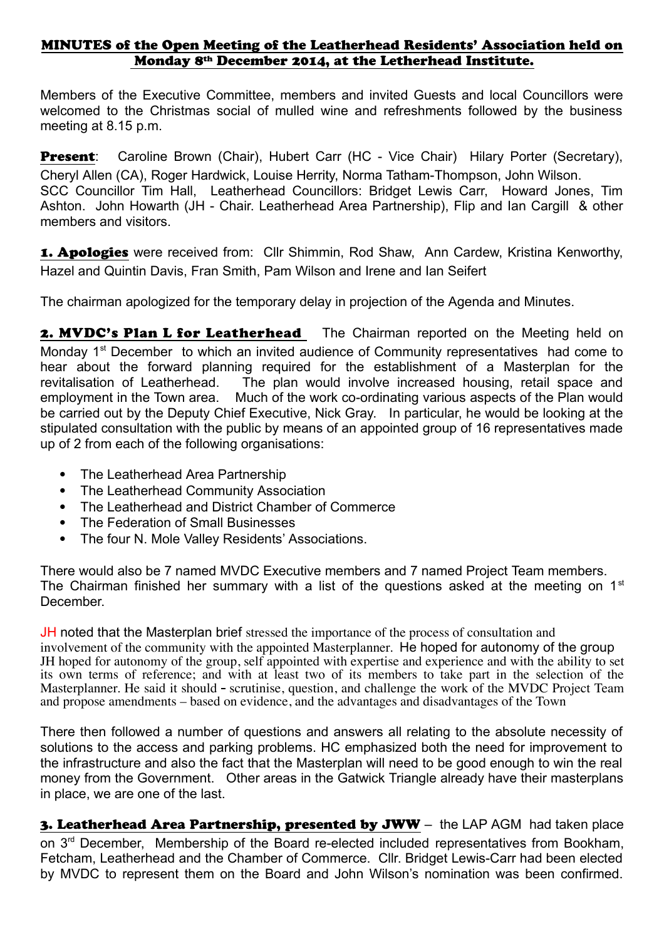## MINUTES of the Open Meeting of the Leatherhead Residents' Association held on Monday 8th December 2014, at the Letherhead Institute.

Members of the Executive Committee, members and invited Guests and local Councillors were welcomed to the Christmas social of mulled wine and refreshments followed by the business meeting at 8.15 p.m.

Present: Caroline Brown (Chair), Hubert Carr (HC - Vice Chair) Hilary Porter (Secretary), Cheryl Allen (CA), Roger Hardwick, Louise Herrity, Norma Tatham-Thompson, John Wilson. SCC Councillor Tim Hall, Leatherhead Councillors: Bridget Lewis Carr, Howard Jones, Tim Ashton. John Howarth (JH - Chair. Leatherhead Area Partnership), Flip and Ian Cargill & other members and visitors.

1. Apologies were received from: Cllr Shimmin, Rod Shaw, Ann Cardew, Kristina Kenworthy, Hazel and Quintin Davis, Fran Smith, Pam Wilson and Irene and Ian Seifert

The chairman apologized for the temporary delay in projection of the Agenda and Minutes.

2. MVDC's Plan L for Leatherhead The Chairman reported on the Meeting held on Monday 1<sup>st</sup> December to which an invited audience of Community representatives had come to hear about the forward planning required for the establishment of a Masterplan for the revitalisation of Leatherhead. The plan would involve increased housing, retail space and employment in the Town area. Much of the work co-ordinating various aspects of the Plan would be carried out by the Deputy Chief Executive, Nick Gray. In particular, he would be looking at the stipulated consultation with the public by means of an appointed group of 16 representatives made up of 2 from each of the following organisations:

- The Leatherhead Area Partnership
- The Leatherhead Community Association
- The Leatherhead and District Chamber of Commerce
- The Federation of Small Businesses
- The four N. Mole Valley Residents' Associations.

There would also be 7 named MVDC Executive members and 7 named Project Team members. The Chairman finished her summary with a list of the questions asked at the meeting on  $1<sup>st</sup>$ **December** 

**JH** noted that the Masterplan brief stressed the importance of the process of consultation and involvement of the community with the appointed Masterplanner. He hoped for autonomy of the group JH hoped for autonomy of the group, self appointed with expertise and experience and with the ability to set its own terms of reference; and with at least two of its members to take part in the selection of the Masterplanner. He said it should - scrutinise, question, and challenge the work of the MVDC Project Team and propose amendments – based on evidence, and the advantages and disadvantages of the Town

There then followed a number of questions and answers all relating to the absolute necessity of solutions to the access and parking problems. HC emphasized both the need for improvement to the infrastructure and also the fact that the Masterplan will need to be good enough to win the real money from the Government. Other areas in the Gatwick Triangle already have their masterplans in place, we are one of the last.

3. Leatherhead Area Partnership, presented by JWW - the LAP AGM had taken place on 3<sup>rd</sup> December, Membership of the Board re-elected included representatives from Bookham, Fetcham, Leatherhead and the Chamber of Commerce. Cllr. Bridget Lewis-Carr had been elected by MVDC to represent them on the Board and John Wilson's nomination was been confirmed.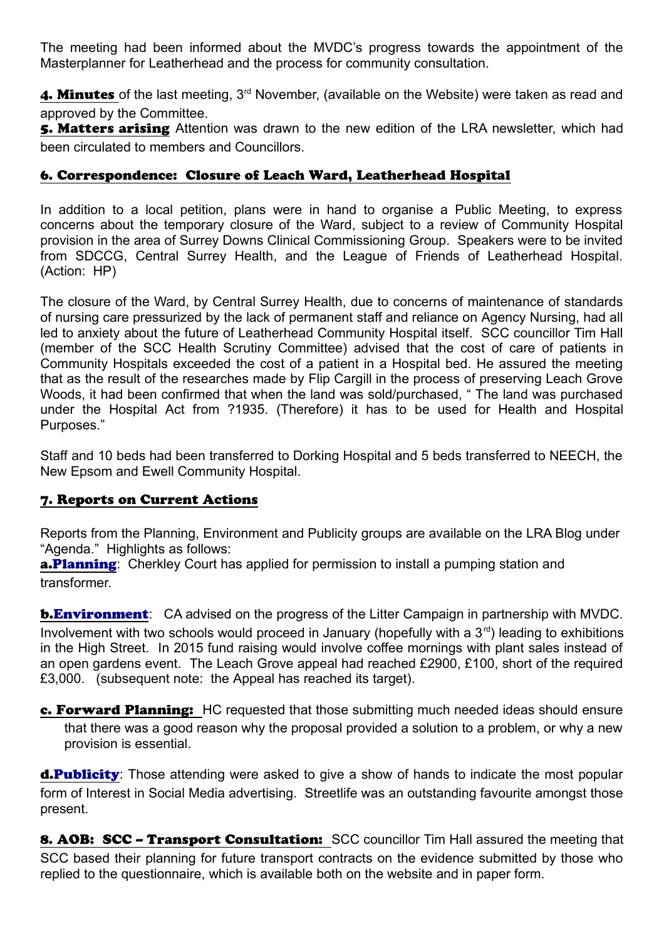The meeting had been informed about the MVDC's progress towards the appointment of the Masterplanner for Leatherhead and the process for community consultation.

4. Minutes of the last meeting, 3<sup>rd</sup> November, (available on the Website) were taken as read and approved by the Committee.

5. Matters arising Attention was drawn to the new edition of the LRA newsletter, which had been circulated to members and Councillors.

## 6. Correspondence: Closure of Leach Ward, Leatherhead Hospital

In addition to a local petition, plans were in hand to organise a Public Meeting, to express concerns about the temporary closure of the Ward, subject to a review of Community Hospital provision in the area of Surrey Downs Clinical Commissioning Group. Speakers were to be invited from SDCCG, Central Surrey Health, and the League of Friends of Leatherhead Hospital. (Action: HP)

The closure of the Ward, by Central Surrey Health, due to concerns of maintenance of standards of nursing care pressurized by the lack of permanent staff and reliance on Agency Nursing, had all led to anxiety about the future of Leatherhead Community Hospital itself. SCC councillor Tim Hall (member of the SCC Health Scrutiny Committee) advised that the cost of care of patients in Community Hospitals exceeded the cost of a patient in a Hospital bed. He assured the meeting that as the result of the researches made by Flip Cargill in the process of preserving Leach Grove Woods, it had been confirmed that when the land was sold/purchased, " The land was purchased under the Hospital Act from ?1935. (Therefore) it has to be used for Health and Hospital Purposes."

Staff and 10 beds had been transferred to Dorking Hospital and 5 beds transferred to NEECH, the New Epsom and Ewell Community Hospital.

## 7. Reports on Current Actions

Reports from the Planning, Environment and Publicity groups are available on the LRA Blog under "Agenda." Highlights as follows:

**a[. Planning](http://leatherheadresidents.org.uk/Reports/Planning_December_2014.pdf):** Cherkley Court has applied for permission to install a pumping station and transformer.

**b[. Environment](http://leatherheadresidents.org.uk/Reports/Environment_December_2014.pdf)**: CA advised on the progress of the Litter Campaign in partnership with MVDC. Involvement with two schools would proceed in January (hopefully with a  $3<sup>rd</sup>$ ) leading to exhibitions in the High Street. In 2015 fund raising would involve coffee mornings with plant sales instead of an open gardens event. The Leach Grove appeal had reached £2900, £100, short of the required £3,000. (subsequent note: the Appeal has reached its target).

c. Forward Planning: HC requested that those submitting much needed ideas should ensure that there was a good reason why the proposal provided a solution to a problem, or why a new provision is essential.

**d[. Publicity](http://leatherheadresidents.org.uk/Reports/Membership_Publicity_December%202014.pdf):** Those attending were asked to give a show of hands to indicate the most popular form of Interest in Social Media advertising. Streetlife was an outstanding favourite amongst those present.

8. AOB: SCC - Transport Consultation: SCC councillor Tim Hall assured the meeting that SCC based their planning for future transport contracts on the evidence submitted by those who replied to the questionnaire, which is available both on the website and in paper form.